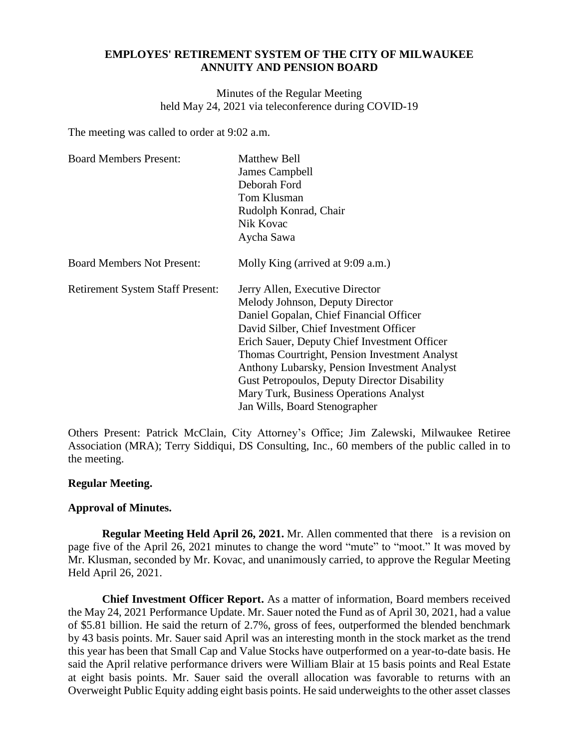# **EMPLOYES' RETIREMENT SYSTEM OF THE CITY OF MILWAUKEE ANNUITY AND PENSION BOARD**

Minutes of the Regular Meeting held May 24, 2021 via teleconference during COVID-19

The meeting was called to order at 9:02 a.m.

| <b>Board Members Present:</b>           | Matthew Bell                                        |  |
|-----------------------------------------|-----------------------------------------------------|--|
|                                         | James Campbell                                      |  |
|                                         | Deborah Ford                                        |  |
|                                         | Tom Klusman                                         |  |
|                                         | Rudolph Konrad, Chair                               |  |
|                                         | Nik Kovac                                           |  |
|                                         | Aycha Sawa                                          |  |
| <b>Board Members Not Present:</b>       | Molly King (arrived at 9:09 a.m.)                   |  |
| <b>Retirement System Staff Present:</b> | Jerry Allen, Executive Director                     |  |
|                                         | Melody Johnson, Deputy Director                     |  |
|                                         | Daniel Gopalan, Chief Financial Officer             |  |
|                                         | David Silber, Chief Investment Officer              |  |
|                                         | Erich Sauer, Deputy Chief Investment Officer        |  |
|                                         | Thomas Courtright, Pension Investment Analyst       |  |
|                                         | Anthony Lubarsky, Pension Investment Analyst        |  |
|                                         | <b>Gust Petropoulos, Deputy Director Disability</b> |  |
|                                         | Mary Turk, Business Operations Analyst              |  |
|                                         | Jan Wills, Board Stenographer                       |  |

Others Present: Patrick McClain, City Attorney's Office; Jim Zalewski, Milwaukee Retiree Association (MRA); Terry Siddiqui, DS Consulting, Inc., 60 members of the public called in to the meeting.

# **Regular Meeting.**

# **Approval of Minutes.**

**Regular Meeting Held April 26, 2021.** Mr. Allen commented that there is a revision on page five of the April 26, 2021 minutes to change the word "mute" to "moot." It was moved by Mr. Klusman, seconded by Mr. Kovac, and unanimously carried, to approve the Regular Meeting Held April 26, 2021.

**Chief Investment Officer Report.** As a matter of information, Board members received the May 24, 2021 Performance Update. Mr. Sauer noted the Fund as of April 30, 2021, had a value of \$5.81 billion. He said the return of 2.7%, gross of fees, outperformed the blended benchmark by 43 basis points. Mr. Sauer said April was an interesting month in the stock market as the trend this year has been that Small Cap and Value Stocks have outperformed on a year-to-date basis. He said the April relative performance drivers were William Blair at 15 basis points and Real Estate at eight basis points. Mr. Sauer said the overall allocation was favorable to returns with an Overweight Public Equity adding eight basis points. He said underweights to the other asset classes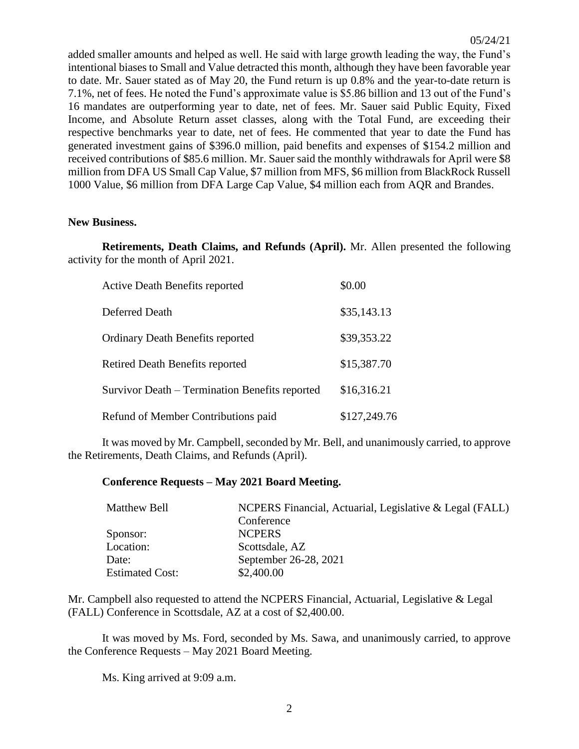added smaller amounts and helped as well. He said with large growth leading the way, the Fund's intentional biases to Small and Value detracted this month, although they have been favorable year to date. Mr. Sauer stated as of May 20, the Fund return is up 0.8% and the year-to-date return is 7.1%, net of fees. He noted the Fund's approximate value is \$5.86 billion and 13 out of the Fund's 16 mandates are outperforming year to date, net of fees. Mr. Sauer said Public Equity, Fixed Income, and Absolute Return asset classes, along with the Total Fund, are exceeding their respective benchmarks year to date, net of fees. He commented that year to date the Fund has generated investment gains of \$396.0 million, paid benefits and expenses of \$154.2 million and received contributions of \$85.6 million. Mr. Sauer said the monthly withdrawals for April were \$8 million from DFA US Small Cap Value, \$7 million from MFS, \$6 million from BlackRock Russell 1000 Value, \$6 million from DFA Large Cap Value, \$4 million each from AQR and Brandes.

#### **New Business.**

**Retirements, Death Claims, and Refunds (April).** Mr. Allen presented the following activity for the month of April 2021.

| <b>Active Death Benefits reported</b>          | \$0.00       |
|------------------------------------------------|--------------|
| Deferred Death                                 | \$35,143.13  |
| <b>Ordinary Death Benefits reported</b>        | \$39,353.22  |
| Retired Death Benefits reported                | \$15,387.70  |
| Survivor Death – Termination Benefits reported | \$16,316.21  |
| Refund of Member Contributions paid            | \$127,249.76 |

It was moved by Mr. Campbell, seconded by Mr. Bell, and unanimously carried, to approve the Retirements, Death Claims, and Refunds (April).

### **Conference Requests – May 2021 Board Meeting.**

| Matthew Bell           | NCPERS Financial, Actuarial, Legislative & Legal (FALL) |
|------------------------|---------------------------------------------------------|
|                        | Conference                                              |
| Sponsor:               | <b>NCPERS</b>                                           |
| Location:              | Scottsdale, AZ                                          |
| Date:                  | September 26-28, 2021                                   |
| <b>Estimated Cost:</b> | \$2,400.00                                              |
|                        |                                                         |

Mr. Campbell also requested to attend the NCPERS Financial, Actuarial, Legislative & Legal (FALL) Conference in Scottsdale, AZ at a cost of \$2,400.00.

It was moved by Ms. Ford, seconded by Ms. Sawa, and unanimously carried, to approve the Conference Requests – May 2021 Board Meeting.

Ms. King arrived at 9:09 a.m.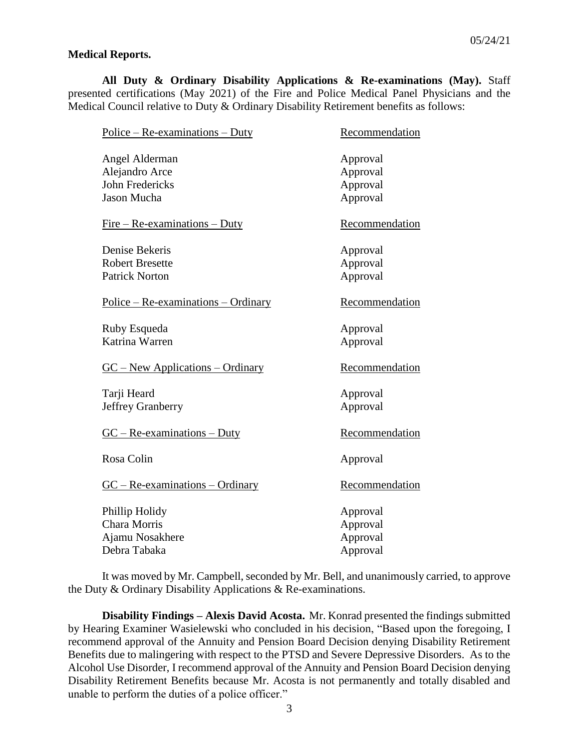## **Medical Reports.**

**All Duty & Ordinary Disability Applications & Re-examinations (May).** Staff presented certifications (May 2021) of the Fire and Police Medical Panel Physicians and the Medical Council relative to Duty & Ordinary Disability Retirement benefits as follows:

| $Police - Re-examinations - Duty$     | Recommendation |
|---------------------------------------|----------------|
| Angel Alderman                        | Approval       |
| Alejandro Arce                        | Approval       |
| <b>John Fredericks</b>                | Approval       |
| <b>Jason Mucha</b>                    | Approval       |
| $Fire - Re-examination - Duty$        | Recommendation |
| Denise Bekeris                        | Approval       |
| <b>Robert Bresette</b>                | Approval       |
| <b>Patrick Norton</b>                 | Approval       |
| $Police - Re-examinations - Ordinary$ | Recommendation |
| Ruby Esqueda                          | Approval       |
| Katrina Warren                        | Approval       |
| $GC - New Applications - Ordinary$    | Recommendation |
| Tarji Heard                           | Approval       |
| <b>Jeffrey Granberry</b>              | Approval       |
| $GC - Re-examinations - Duty$         | Recommendation |
| Rosa Colin                            | Approval       |
| $GC - Re-examinations - Ordinary$     | Recommendation |
| Phillip Holidy                        | Approval       |
| <b>Chara Morris</b>                   | Approval       |
| Ajamu Nosakhere                       | Approval       |
| Debra Tabaka                          | Approval       |

It was moved by Mr. Campbell, seconded by Mr. Bell, and unanimously carried, to approve the Duty & Ordinary Disability Applications & Re-examinations.

**Disability Findings – Alexis David Acosta.** Mr. Konrad presented the findings submitted by Hearing Examiner Wasielewski who concluded in his decision, "Based upon the foregoing, I recommend approval of the Annuity and Pension Board Decision denying Disability Retirement Benefits due to malingering with respect to the PTSD and Severe Depressive Disorders. As to the Alcohol Use Disorder, I recommend approval of the Annuity and Pension Board Decision denying Disability Retirement Benefits because Mr. Acosta is not permanently and totally disabled and unable to perform the duties of a police officer."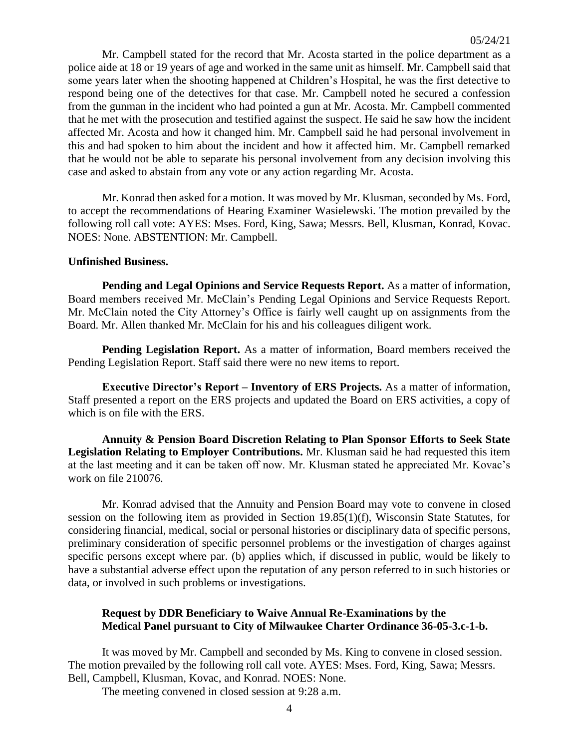Mr. Campbell stated for the record that Mr. Acosta started in the police department as a police aide at 18 or 19 years of age and worked in the same unit as himself. Mr. Campbell said that some years later when the shooting happened at Children's Hospital, he was the first detective to respond being one of the detectives for that case. Mr. Campbell noted he secured a confession from the gunman in the incident who had pointed a gun at Mr. Acosta. Mr. Campbell commented that he met with the prosecution and testified against the suspect. He said he saw how the incident affected Mr. Acosta and how it changed him. Mr. Campbell said he had personal involvement in this and had spoken to him about the incident and how it affected him. Mr. Campbell remarked that he would not be able to separate his personal involvement from any decision involving this case and asked to abstain from any vote or any action regarding Mr. Acosta.

Mr. Konrad then asked for a motion. It was moved by Mr. Klusman, seconded by Ms. Ford, to accept the recommendations of Hearing Examiner Wasielewski. The motion prevailed by the following roll call vote: AYES: Mses. Ford, King, Sawa; Messrs. Bell, Klusman, Konrad, Kovac. NOES: None. ABSTENTION: Mr. Campbell.

#### **Unfinished Business.**

**Pending and Legal Opinions and Service Requests Report.** As a matter of information, Board members received Mr. McClain's Pending Legal Opinions and Service Requests Report. Mr. McClain noted the City Attorney's Office is fairly well caught up on assignments from the Board. Mr. Allen thanked Mr. McClain for his and his colleagues diligent work.

**Pending Legislation Report.** As a matter of information, Board members received the Pending Legislation Report. Staff said there were no new items to report.

**Executive Director's Report – Inventory of ERS Projects.** As a matter of information, Staff presented a report on the ERS projects and updated the Board on ERS activities, a copy of which is on file with the ERS.

**Annuity & Pension Board Discretion Relating to Plan Sponsor Efforts to Seek State Legislation Relating to Employer Contributions.** Mr. Klusman said he had requested this item at the last meeting and it can be taken off now. Mr. Klusman stated he appreciated Mr. Kovac's work on file 210076.

Mr. Konrad advised that the Annuity and Pension Board may vote to convene in closed session on the following item as provided in Section 19.85(1)(f), Wisconsin State Statutes, for considering financial, medical, social or personal histories or disciplinary data of specific persons, preliminary consideration of specific personnel problems or the investigation of charges against specific persons except where par. (b) applies which, if discussed in public, would be likely to have a substantial adverse effect upon the reputation of any person referred to in such histories or data, or involved in such problems or investigations.

## **Request by DDR Beneficiary to Waive Annual Re-Examinations by the Medical Panel pursuant to City of Milwaukee Charter Ordinance 36-05-3.c-1-b.**

It was moved by Mr. Campbell and seconded by Ms. King to convene in closed session. The motion prevailed by the following roll call vote. AYES: Mses. Ford, King, Sawa; Messrs. Bell, Campbell, Klusman, Kovac, and Konrad. NOES: None.

The meeting convened in closed session at 9:28 a.m.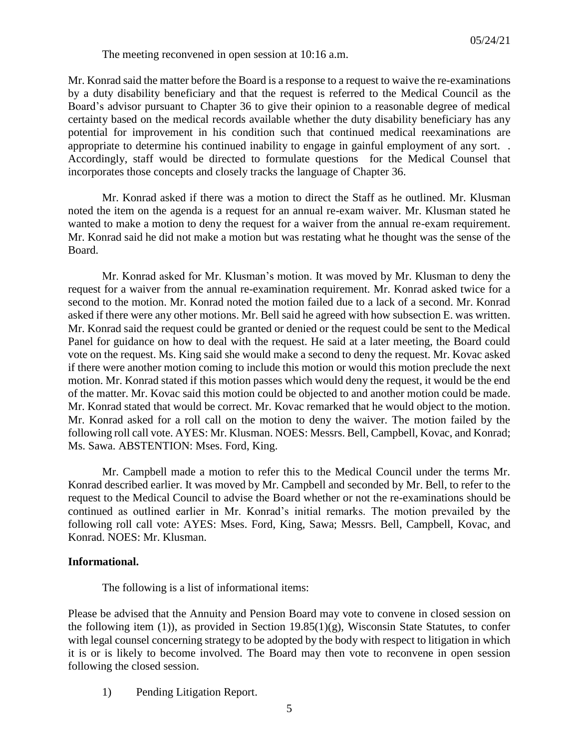The meeting reconvened in open session at 10:16 a.m.

Mr. Konrad said the matter before the Board is a response to a request to waive the re-examinations by a duty disability beneficiary and that the request is referred to the Medical Council as the Board's advisor pursuant to Chapter 36 to give their opinion to a reasonable degree of medical certainty based on the medical records available whether the duty disability beneficiary has any potential for improvement in his condition such that continued medical reexaminations are appropriate to determine his continued inability to engage in gainful employment of any sort. . Accordingly, staff would be directed to formulate questions for the Medical Counsel that incorporates those concepts and closely tracks the language of Chapter 36.

Mr. Konrad asked if there was a motion to direct the Staff as he outlined. Mr. Klusman noted the item on the agenda is a request for an annual re-exam waiver. Mr. Klusman stated he wanted to make a motion to deny the request for a waiver from the annual re-exam requirement. Mr. Konrad said he did not make a motion but was restating what he thought was the sense of the Board.

Mr. Konrad asked for Mr. Klusman's motion. It was moved by Mr. Klusman to deny the request for a waiver from the annual re-examination requirement. Mr. Konrad asked twice for a second to the motion. Mr. Konrad noted the motion failed due to a lack of a second. Mr. Konrad asked if there were any other motions. Mr. Bell said he agreed with how subsection E. was written. Mr. Konrad said the request could be granted or denied or the request could be sent to the Medical Panel for guidance on how to deal with the request. He said at a later meeting, the Board could vote on the request. Ms. King said she would make a second to deny the request. Mr. Kovac asked if there were another motion coming to include this motion or would this motion preclude the next motion. Mr. Konrad stated if this motion passes which would deny the request, it would be the end of the matter. Mr. Kovac said this motion could be objected to and another motion could be made. Mr. Konrad stated that would be correct. Mr. Kovac remarked that he would object to the motion. Mr. Konrad asked for a roll call on the motion to deny the waiver. The motion failed by the following roll call vote. AYES: Mr. Klusman. NOES: Messrs. Bell, Campbell, Kovac, and Konrad; Ms. Sawa. ABSTENTION: Mses. Ford, King.

Mr. Campbell made a motion to refer this to the Medical Council under the terms Mr. Konrad described earlier. It was moved by Mr. Campbell and seconded by Mr. Bell, to refer to the request to the Medical Council to advise the Board whether or not the re-examinations should be continued as outlined earlier in Mr. Konrad's initial remarks. The motion prevailed by the following roll call vote: AYES: Mses. Ford, King, Sawa; Messrs. Bell, Campbell, Kovac, and Konrad. NOES: Mr. Klusman.

# **Informational.**

The following is a list of informational items:

Please be advised that the Annuity and Pension Board may vote to convene in closed session on the following item (1)), as provided in Section 19.85(1)(g), Wisconsin State Statutes, to confer with legal counsel concerning strategy to be adopted by the body with respect to litigation in which it is or is likely to become involved. The Board may then vote to reconvene in open session following the closed session.

1) Pending Litigation Report.